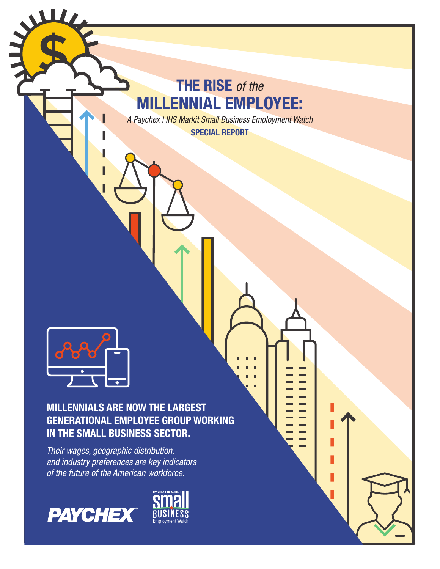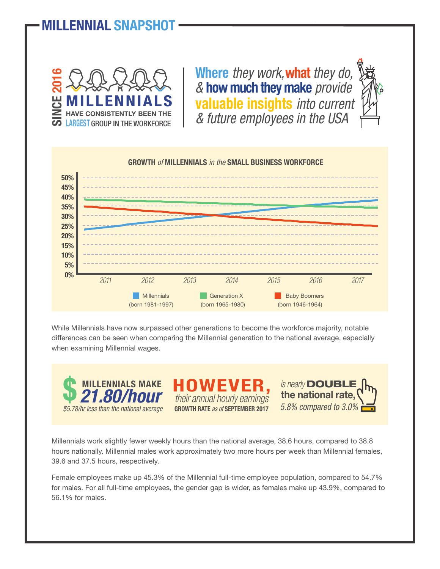## LLENNIAL SNAPSHO



**Where** *they work,***what** *they do, &* **how much they make** *provide* **valuable insights** *into current & future employees in the USA*





While Millennials have now surpassed other generations to become the workforce majority, notable differences can be seen when comparing the Millennial generation to the national average, especially when examining Millennial wages.



**GROWTH RATE** *as of* **SEPTEMBER 2017**

*is nearly* DOUBLE *5.8% compared to 3.0%* **the national rate,**

Millennials work slightly fewer weekly hours than the national average, 38.6 hours, compared to 38.8 hours nationally. Millennial males work approximately two more hours per week than Millennial females, 39.6 and 37.5 hours, respectively.

Female employees make up 45.3% of the Millennial full-time employee population, compared to 54.7% for males. For all full-time employees, the gender gap is wider, as females make up 43.9%, compared to 56.1% for males.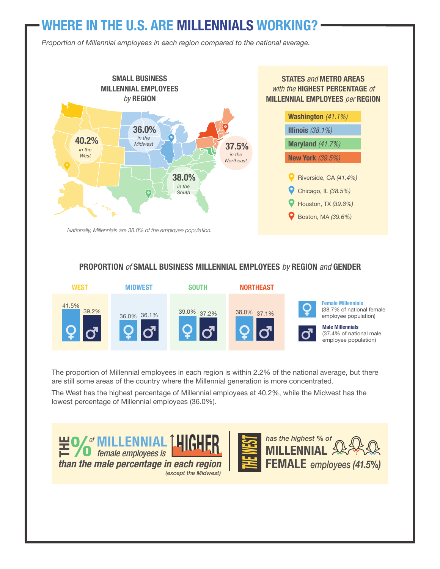## **WHERE IN THE U.S. ARE MILLENNIALS WORKING?**

*Proportion of Millennial employees in each region compared to the national average.*



#### **PROPORTION** *of* **SMALL BUSINESS MILLENNIAL EMPLOYEES** *by* **REGION** *and* **GENDER**



The proportion of Millennial employees in each region is within 2.2% of the national average, but there are still some areas of the country where the Millennial generation is more concentrated.

The West has the highest percentage of Millennial employees at 40.2%, while the Midwest has the lowest percentage of Millennial employees (36.0%).

*(except the Midwest)*

 $\mathbb{H}$  **% MILLENNIAL HIGHER** *than the male percentage in each region*



**MMIAL**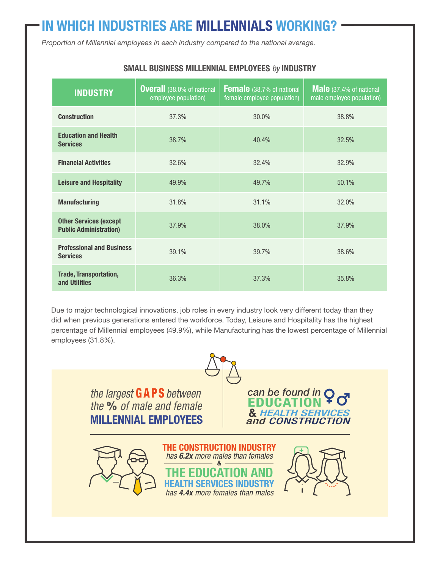# **IN WHICH INDUSTRIES ARE MILLENNIALS WORKING?**

*Proportion of Millennial employees in each industry compared to the national average.*

| <b>INDUSTRY</b>                                                | <b>Overall</b> (38.0% of national<br>employee population) | Female (38.7% of national<br>female employee population) | Male (37.4% of national<br>male employee population) |  |
|----------------------------------------------------------------|-----------------------------------------------------------|----------------------------------------------------------|------------------------------------------------------|--|
| <b>Construction</b>                                            | 37.3%                                                     | 30.0%                                                    | 38.8%                                                |  |
| <b>Education and Health</b><br><b>Services</b>                 | 38.7%                                                     | 40.4%                                                    | 32.5%                                                |  |
| <b>Financial Activities</b>                                    | 32.6%                                                     | 32.4%                                                    | 32.9%                                                |  |
| <b>Leisure and Hospitality</b>                                 | 49.9%                                                     | 49.7%                                                    | 50.1%                                                |  |
| <b>Manufacturing</b>                                           | 31.8%                                                     | 31.1%                                                    | 32.0%                                                |  |
| <b>Other Services (except</b><br><b>Public Administration)</b> | 37.9%                                                     | 38.0%                                                    | 37.9%                                                |  |
| <b>Professional and Business</b><br><b>Services</b>            | 39.1%                                                     | 39.7%                                                    | 38.6%                                                |  |
| <b>Trade, Transportation,</b><br>and Utilities                 | 36.3%                                                     | 37.3%                                                    | 35.8%                                                |  |

#### **SMALL BUSINESS MILLENNIAL EMPLOYEES** *by* **INDUSTRY**

Due to major technological innovations, job roles in every industry look very different today than they did when previous generations entered the workforce. Today, Leisure and Hospitality has the highest percentage of Millennial employees (49.9%), while Manufacturing has the lowest percentage of Millennial employees (31.8%).

> *the largest* GAPS *between the* % *of male and female* **MILLENNIAL EMPLOYEES**

*can be found in* **EDUCATION &** *HEALTH SERVICES and CONSTRUCTION*

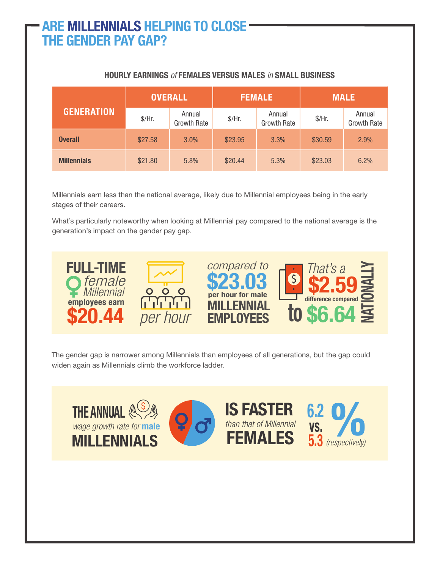## **ARE MILLENNIALS HELPING TO CLOSE THE GENDER PAY GAP?**

| <b>GENERATION</b>  | <b>OVERALL</b> |                              | <b>FEMALE</b> |                              | <b>MALE</b> |                       |
|--------------------|----------------|------------------------------|---------------|------------------------------|-------------|-----------------------|
|                    | \$/Hr.         | Annual<br><b>Growth Rate</b> | \$/Hr.        | Annual<br><b>Growth Rate</b> | $$/$ Hr.    | Annual<br>Growth Rate |
| <b>Overall</b>     | \$27.58        | 3.0%                         | \$23.95       | 3.3%                         | \$30.59     | 2.9%                  |
| <b>Millennials</b> | \$21.80        | 5.8%                         | \$20.44       | 5.3%                         | \$23.03     | 6.2%                  |

#### **HOURLY EARNINGS** *of* **FEMALES VERSUS MALES** *in* **SMALL BUSINESS**

Millennials earn less than the national average, likely due to Millennial employees being in the early stages of their careers.

What's particularly noteworthy when looking at Millennial pay compared to the national average is the generation's impact on the gender pay gap.



The gender gap is narrower among Millennials than employees of all generations, but the gap could widen again as Millennials climb the workforce ladder.

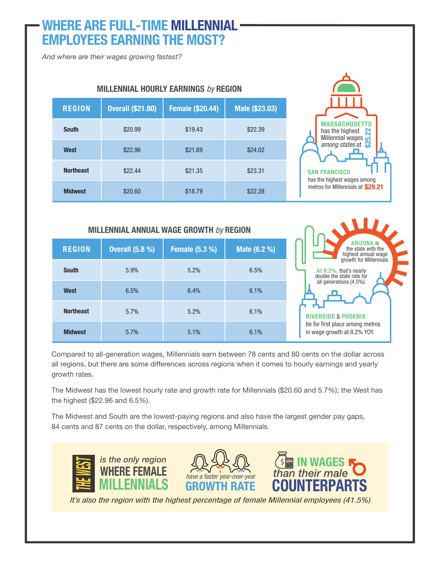## **WHERE ARE FULL-TIME MILLENNIAL EMPLOYEES EARNING THE MOST?**

*And where are their wages growing fastest?*

| m                |                          |                         |                |  |  |
|------------------|--------------------------|-------------------------|----------------|--|--|
| <b>REGION</b>    | <b>Overall (\$21.80)</b> | <b>Female (\$20.44)</b> | Male (\$23.03) |  |  |
| <b>South</b>     | \$20.99                  | \$19.43                 | \$22.39        |  |  |
| West             | \$22.96                  | \$21.69                 | \$24.02        |  |  |
| <b>Northeast</b> | \$22.44                  | \$21.35                 | \$23.31        |  |  |
| <b>Midwest</b>   | \$20.60                  | \$18.79                 | \$22.28        |  |  |

**MILLENNIAL HOURLY EARNINGS** *by* **REGION**

## **MASSACHUSETTS** has the highest **N** Millennial wages has the highest<br>Millennial wages<br>*among states* at **SAN FRANCISCO** has the highest wages among metros for Millennials at **\$29.21**

**RIVERSIDE** & **PHOENIX** tie for first place among metros in wage growth at 8.2% YOY.

**At 8.2%,** that's nearly double the state rate for all generations (4.5%).

**ARIZONA** is the state with the highest annual wage growth for Millennials.

#### **MILLENNIAL ANNUAL WAGE GROWTH** *by* **REGION**

| <b>REGION</b>    | <b>Overall (5.8 %)</b> | <b>Female (5.3 %)</b> | Male (6.2 %) |  |
|------------------|------------------------|-----------------------|--------------|--|
| <b>South</b>     | 5.9%                   | 5.2%                  | 6.5%         |  |
| West             | 6.5%                   | 6.4%                  | 6.1%         |  |
| <b>Northeast</b> | 5.7%                   | 5.2%                  | 6.1%         |  |
| <b>Midwest</b>   | 5.7%                   | 5.1%                  | 6.1%         |  |

Compared to all-generation wages, Millennials earn between 78 cents and 80 cents on the dollar across all regions, but there are some differences across regions when it comes to hourly earnings and yearly growth rates.

The Midwest has the lowest hourly rate and growth rate for Millennials (\$20.60 and 5.7%); the West has the highest (\$22.96 and 6.5%).

The Midwest and South are the lowest-paying regions and also have the largest gender pay gaps, 84 cents and 87 cents on the dollar, respectively, among Millennials.



*It's also the region with the highest percentage of female Millennial employees (41.5%)*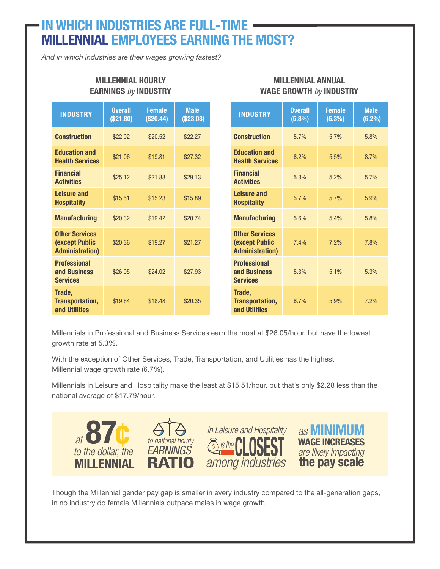### **IN WHICH INDUSTRIES ARE FULL-TIME MILLENNIAL EMPLOYEES EARNING THE MOST?**

*And in which industries are their wages growing fastest?*

| <b>INDUSTRY</b>                                                           | <b>Overall</b><br>(\$21.80) | <b>Female</b><br>(\$20.44) | <b>Male</b><br>(\$23.03) | <b>INDUSTRY</b>                                                           | <b>Overall</b><br>(5.8%) | <b>Female</b><br>(5.3%) | <b>Male</b><br>(6.2%) |
|---------------------------------------------------------------------------|-----------------------------|----------------------------|--------------------------|---------------------------------------------------------------------------|--------------------------|-------------------------|-----------------------|
| <b>Construction</b>                                                       | \$22.02                     | \$20.52                    | \$22.27                  | <b>Construction</b>                                                       | 5.7%                     | 5.7%                    | 5.8%                  |
| <b>Education and</b><br><b>Health Services</b>                            | \$21.06                     | \$19.81                    | \$27.32                  | <b>Education and</b><br><b>Health Services</b>                            | 6.2%                     | 5.5%                    | 8.7%                  |
| <b>Financial</b><br><b>Activities</b>                                     | \$25.12                     | \$21.88                    | \$29.13                  | <b>Financial</b><br><b>Activities</b>                                     | 5.3%                     | 5.2%                    | 5.7%                  |
| <b>Leisure and</b><br><b>Hospitality</b>                                  | \$15.51                     | \$15.23                    | \$15.89                  | Leisure and<br><b>Hospitality</b>                                         | 5.7%                     | 5.7%                    | 5.9%                  |
| <b>Manufacturing</b>                                                      | \$20.32                     | \$19.42                    | \$20.74                  | <b>Manufacturing</b>                                                      | 5.6%                     | 5.4%                    | 5.8%                  |
| <b>Other Services</b><br><b>(except Public</b><br><b>Administration</b> ) | \$20.36                     | \$19.27                    | \$21.27                  | <b>Other Services</b><br><b>(except Public</b><br><b>Administration</b> ) | 7.4%                     | 7.2%                    | 7.8%                  |
| <b>Professional</b><br>and Business<br><b>Services</b>                    | \$26.05                     | \$24.02                    | \$27.93                  | <b>Professional</b><br>and Business<br><b>Services</b>                    | 5.3%                     | 5.1%                    | 5.3%                  |
| Trade,<br><b>Transportation,</b><br>and Utilities                         | \$19.64                     | \$18.48                    | \$20.35                  | Trade,<br>Transportation,<br>and Utilities                                | 6.7%                     | 5.9%                    | 7.2%                  |

**MILLENNIAL ANNUAL WAGE GROWTH** *by* **INDUSTRY**

#### **MILLENNIAL HOURLY EARNINGS** *by* **INDUSTRY**

Millennials in Professional and Business Services earn the most at \$26.05/hour, but have the lowest growth rate at 5.3%.

With the exception of Other Services, Trade, Transportation, and Utilities has the highest Millennial wage growth rate (6.7%).

Millennials in Leisure and Hospitality make the least at \$15.51/hour, but that's only \$2.28 less than the national average of \$17.79/hour.



Though the Millennial gender pay gap is smaller in every industry compared to the all-generation gaps, in no industry do female Millennials outpace males in wage growth.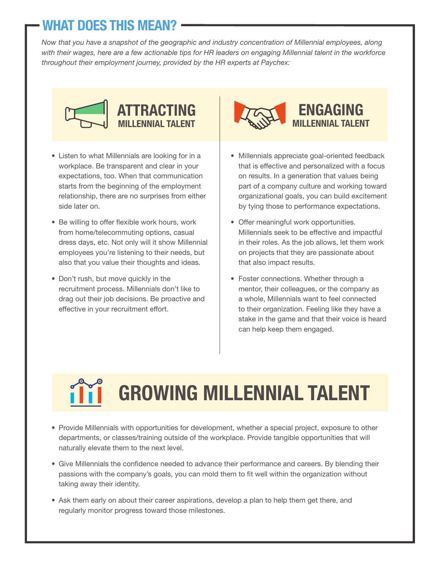# **WHAT DOES THIS MEAN?**

*Now that you have a snapshot of the geographic and industry concentration of Millennial employees, along with their wages, here are a few actionable tips for HR leaders on engaging Millennial talent in the workforce throughout their employment journey, provided by the HR experts at Paychex:*



- Listen to what Millennials are looking for in a workplace. Be transparent and clear in your expectations, too. When that communication starts from the beginning of the employment relationship, there are no surprises from either side later on.
- Be willing to offer flexible work hours, work from home/telecommuting options, casual dress days, etc. Not only will it show Millennial employees you're listening to their needs, but also that you value their thoughts and ideas.
- Don't rush, but move quickly in the recruitment process. Millennials don't like to drag out their job decisions. Be proactive and effective in your recruitment effort.



- Millennials appreciate goal-oriented feedback that is effective and personalized with a focus on results. In a generation that values being part of a company culture and working toward organizational goals, you can build excitement by tying those to performance expectations.
- Offer meaningful work opportunities. Millennials seek to be effective and impactful in their roles. As the job allows, let them work on projects that they are passionate about that also impact results.
- Foster connections. Whether through a mentor, their colleagues, or the company as a whole, Millennials want to feel connected to their organization. Feeling like they have a stake in the game and that their voice is heard can help keep them engaged.

# **GROWING MILLENNIAL TALENT**

- Provide Millennials with opportunities for development, whether a special project, exposure to other departments, or classes/training outside of the workplace. Provide tangible opportunities that will naturally elevate them to the next level.
- Give Millennials the confidence needed to advance their performance and careers. By blending their passions with the company's goals, you can mold them to fit well within the organization without taking away their identity.
- Ask them early on about their career aspirations, develop a plan to help them get there, and regularly monitor progress toward those milestones.